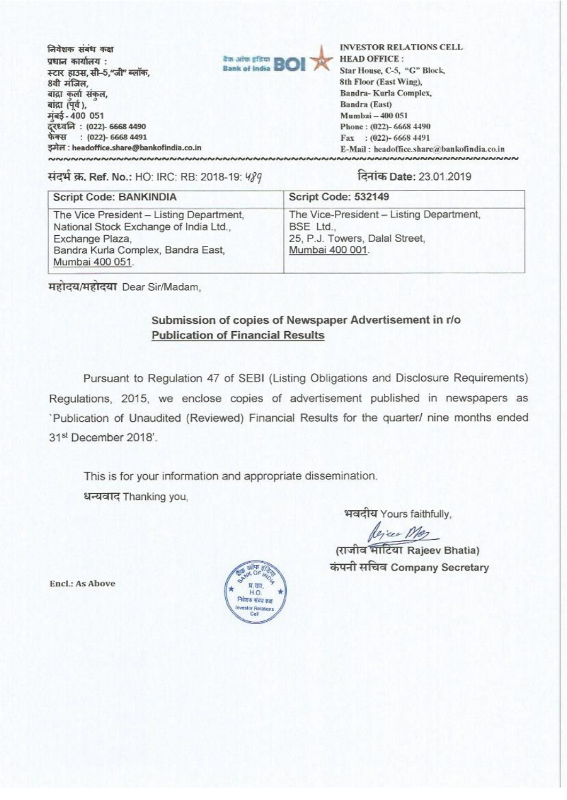निवेशक संबंध कक्ष प्रधान कार्यालय : स्टार हाउस, सी-5,"जी" ब्लॉक, 8वी मंजिल, बांद्रा कर्ला संकल, बांद्रा (पूर्व), मंबई - 400 051 नुबइ - 400 051<br>दूरध्वनि : (022)- 6668 4490<br>फेक्स : (022)- 6668 4491 फेक्स : (022)- 6668 4491<br>इमेल : headoffice.share@bankofindia.co.in



INVESTOR RELATIONS CELL, **HEAD** OFFICE : Star House, C-S, "G" Block, Sth Floor (East Wing), Bandra- Kuria Complex, Bandra (East) **Mumbai -400 051 Phone : (022)- 6668 4490**  Fax : (022)- 6668 4491 E-Mail : headoffice.share@bankofindia.co.in **NNNNNNNNNNNNNNNNNNNNNNNNNNNNNNNNNNNNNNNNNN~~~~~~~~~~~~~~~~~~~~**

\*itT. Ref. No.: HO: IRC: RB: 2018-19:W89 **Date:** 23.01.2019

| Script Code: BANKINDIA                                                                                                                                         | Script Code: 532149                                                                                        |  |
|----------------------------------------------------------------------------------------------------------------------------------------------------------------|------------------------------------------------------------------------------------------------------------|--|
| The Vice President - Listing Department,<br>National Stock Exchange of India Ltd.,<br>Exchange Plaza,<br>Bandra Kurla Complex, Bandra East,<br>Mumbai 400 051. | The Vice-President - Listing Department,<br>BSE Ltd.,<br>25, P.J. Towers, Dalal Street,<br>Mumbai 400 001. |  |

**महोदय/महोदया Dear Sir/Madam,** 

## Submission of copies of Newspaper Advertisement in r/o **Publication of Financial Results**

Pursuant to Regulation 47 of SEBI (Listing Obligations and Disclosure Requirements) Regulations, 2015, we enclose copies of advertisement published in newspapers as Publication of Unaudited (Reviewed) Financial Results for the quarter/ nine months ended 31st December 2018'.

This is for your information and appropriate dissemination. धन्यवाद Thanking you,

भवदीय Yours faithfully,

A.7ua

(राजीव भाटिया Rajeev Bhatia) कंपनी सचिव Company Secretary

Encl.: As Above

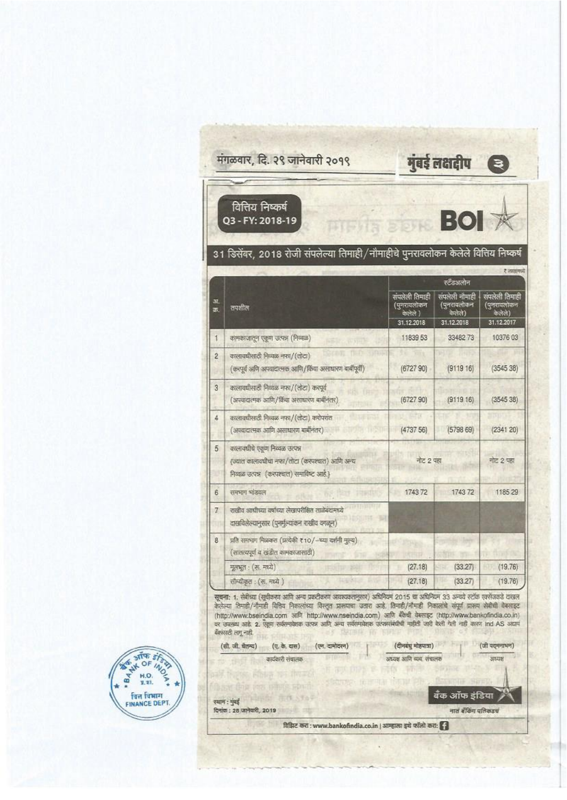|           | वित्तिय निष्कर्ष<br>Q3 - FY: 2018-19                                                                                      | <b>BOI</b> 求                                             |                                                       |                                                      |
|-----------|---------------------------------------------------------------------------------------------------------------------------|----------------------------------------------------------|-------------------------------------------------------|------------------------------------------------------|
|           | 31 डिसेंबर, 2018 रोजी संपलेल्या तिमाही/नौमाहीचे पुनरावलोकन केलेले वित्तिय निष्कर्ष                                        |                                                          |                                                       | र लावामध्ये                                          |
|           |                                                                                                                           |                                                          | रटँडअलोन                                              |                                                      |
| 31.<br>क. | तपशील                                                                                                                     | संपलेली तिमाही<br>(पुनरायलोकन<br>कल्नेले ।<br>31.12.2018 | संपलेली नौमाही<br>(पुनरावलोकन<br>कलेले)<br>31.12.2018 | सपलली तिमाही<br>(पुनरावलोकन<br>केलेले)<br>31.12.2017 |
| 1         | कामकाजातून एकूण उत्पन्न (निव्यळ)                                                                                          | 11839 53                                                 | 3348273                                               | 10376 03                                             |
| 2         | कालाबधीसाठी निव्यक्त नका/(तोटा)<br>(करपूर्व अणि अपवादात्मक आणि/किंवा असाधारण बाबींपूर्वी)                                 | (672790)                                                 | (911916)                                              | (354538)                                             |
| 3         | कालावधीसाठी निव्यक नफा/(तोटा) करपूर्व<br>(अपवादात्मक आणि/किंवा असाधारण बाबीनंतर)                                          | (6727.90)                                                | (9119.16)                                             | (354538)                                             |
| 4         | कालावधीसाठी निव्यळ नफा/(तोटा) करोपरांत<br>(अपदादात्मक आणि असाधारण बार्बीनंतर)                                             | (473756)                                                 | (579869)                                              | (234120)                                             |
| 5         | कालावधीचे एकूण निव्यळ उत्पन्न<br>{ज्यात कालावधीचा नफा/तोटा (करपश्चात) आणि अन्य<br>निव्यळ उत्पन्न (करपश्चल) समाविष्ट आहे.) |                                                          | नोट 2 पहा                                             |                                                      |
| 6         | समभाग भांडवल                                                                                                              | 174372                                                   | 1743 72                                               | 1185 29                                              |
| 7         | राखीव आधीच्या क्वच्या लेखापरीक्षित ताळेबंदामध्ये<br>दाखविलेल्यानुसार (पुनर्मुल्यांकन राखीव वगळून)                         |                                                          |                                                       |                                                      |
| 8         | प्रति समभाग मिळकत (प्रत्येकी ११०/-च्या दर्शनी मुल्य)<br>(सातत्यपूर्ण व खंडीत कामकाजासाठी)                                 |                                                          |                                                       |                                                      |
|           | मूलभूत : (रू. मध्ये)                                                                                                      | (27.18)                                                  | (33.27)                                               | (19.76)                                              |
|           | $11 - 0.1$<br>सीन्यीकृत : (रु. मध्ये )                                                                                    | (27.18)                                                  | (33.27)                                               | (19.76)                                              |

 $+100$ 

बँक ऑफ इंडिया

नातं बँकिंग पतिकडचं

n.

विक्रिट करा: www.bankofindia.co.in | आम्हाला इथे फॉलो करा: ?



**CONSTRUCTION INTO THE** 

रयान : मुंबई<br>दिनांक : 28 जानेवारी, 2019

市方

**Yo9** 

inte m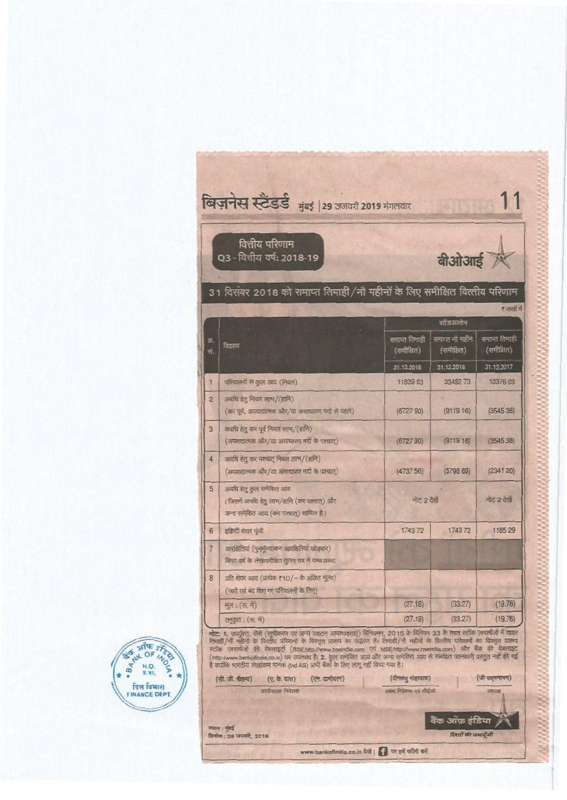|                 | वित्तीय परिणाम<br>Q3 - वित्तीय वर्ष: 2018-19                                                                   |                             | <b>बीओआई</b>                  |                             |
|-----------------|----------------------------------------------------------------------------------------------------------------|-----------------------------|-------------------------------|-----------------------------|
|                 | 31 दिसंबर 2018 को समाप्त तिमाही/नौ महीनों के लिए समीक्षित वित्तीय परिणाम                                       |                             |                               |                             |
|                 |                                                                                                                |                             | स्टेडअलान                     | ट आसी में                   |
| Ø.<br>.<br>स.   | वियत्ना                                                                                                        | समाप्त तिमाही<br>(समीक्षित) | समाप्त ना महीने<br>(समीक्षित) | समाप्त तिमाही<br>(समीक्षित) |
|                 |                                                                                                                | 31.12.2018                  | 31.12.2018                    | 31.12.2017                  |
| T               | परिचलनों से कुल आय (निवल)                                                                                      | 11839 53                    | 3348273                       | 10376 03                    |
| $\overline{2}$  | अवधि डेतु निवल लाभ/(डानि)<br>(कर पूर्व, अपवादात्मक और/या असाधारण गर्दो से पहले)                                | (672790)                    | (911916)                      | (354538)                    |
| 3               | अवधि हेतु कर पूर्व निवल लाभ/(हानि)<br>(अपवादात्मक और/या असाधारण मदों के पश्चात्)                               | (672790)                    | (911916)                      | (354538)                    |
| 4               | अवधि हेतु कर पश्चात् निवल लाम/(हानि)<br>(अपवादात्मक और/या असाधारण नदों के पश्चात्)                             | (4737.56)                   | (579869)                      | (2341 20)                   |
| 5               | अवधि हेतु कुल समेकित आय<br>(जिसमें अवधि हेतु लाभ/हानि (कर पश्चात्) और<br>अन्य समेकित आय (कर पश्यात्) शामिल है) |                             | नोट 2 देखें                   |                             |
| $6\overline{6}$ | इक्विटी शेयर पूंजी                                                                                             | 1743 72                     | 174372                        | 1185 29                     |
| $\overline{7}$  | आरक्षितियां (पुनर्मूल्यांकन अलक्षितियां छोड़कर)<br>विगत वर्ष के लेखामरीक्षित तुलन मत्र में यथा प्रकट           |                             |                               |                             |
| 8               | प्रति शेयर आय (प्रत्येक र 10/ – के अंवित मूल्य)<br>(जारी एवं बंद किए गए परिचालनों के लिए)                      |                             |                               |                             |
|                 | मूल: (फ. म)                                                                                                    | (27.18)                     | (33.27)                       | (19.76)                     |
|                 | तनकरा: (रू. में)                                                                                               | (27.18)                     | (33.27)                       | (19.76)                     |



| (सी. जी. चैतन्य)                        | (ए. के. दास)   | (एन. दामोदरन) | (दीनबंधु मोहापात्रा)   | (जी पदमनाभन)    |  |
|-----------------------------------------|----------------|---------------|------------------------|-----------------|--|
|                                         | नायपालक निदेशक |               | प्रसंश निदेशक एवं शीईओ | <b>SURE</b>     |  |
|                                         |                |               |                        | बैंक ऑफ़ इंडिया |  |
| च्यान : मुंबई<br>देनांक: 28 जनवरी, 2019 |                |               | रिश्तों की जमाएँजी     |                 |  |